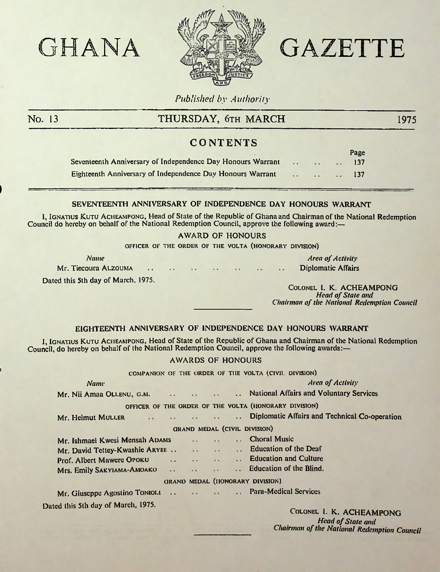

# GHANA ATEX GAZETTE

Page

*Published by Authority*

)

# No. 13 THURSDAY, 6th MARCH 1975

# **CONTENTS**

|                                                             |        |  | r agc |
|-------------------------------------------------------------|--------|--|-------|
| Seventeenth Anniversary of Independence Day Honours Warrant | $\sim$ |  | 137   |
| Eighteenth Anniversary of Independence Day Honours Warrant  |        |  | 137.  |

# SEVENTEENTH ANNIVERSARY OF INDEPENDENCE DAY HONOURS WARRANT

I, Ignatius Kutu Acheampong, Head of State of the Republic of Ghana and Chairman of the National Redemption Council do hereby on behalf of the National Redemption Council, approve the following award:—

### AWARD OF HONOURS

**OFFICER OF THE ORDER OF THE VOLTA (HONORARY DIVISION)**

*Name*

Mr. Tiecoura Alzouma

**Area** of **Activity** Diplomatic Affairs

Dated this 5th day of March, 1975.

Colonel I. K. ACHEAMPONG *Head of State and Chairman of the National Redemption Council* 

## EIGHTEENTH ANNIVERSARY OF INDEPENDENCE DAY HONOURS WARRANT

1, Ignatius Kutu Acheampong, Head of State of the Republic of Ghana and Chairman of the National Redemption Council, do hereby on behalf of the National Redemption Council, approve the following awards:—

## AWARDS OF HONOURS

| COMPANION OF THE ORDER OF THE VOLTA (CIVIL DIVISION)  |  |  |  |  |                                                                   |  |  |  |
|-------------------------------------------------------|--|--|--|--|-------------------------------------------------------------------|--|--|--|
| <b>Name</b>                                           |  |  |  |  | <b>Area of Activity</b>                                           |  |  |  |
|                                                       |  |  |  |  | Mr. Nii Amaa OLLENU, G.M. National Affairs and Voluntary Services |  |  |  |
|                                                       |  |  |  |  | OFFICER OF THE ORDER OF THE VOLTA (HONORARY DIVISION)             |  |  |  |
| Mr. Helmut MULLER                                     |  |  |  |  |                                                                   |  |  |  |
| GRAND MEDAL (CIVIL DIVISION)                          |  |  |  |  |                                                                   |  |  |  |
| Mr. Ishmael Kwesi Mensah ADAMS                        |  |  |  |  | <b>Example 19 Choral Music</b>                                    |  |  |  |
| Mr. David Tettey-Kwashie ARYEE  Education of the Deaf |  |  |  |  |                                                                   |  |  |  |
|                                                       |  |  |  |  |                                                                   |  |  |  |
|                                                       |  |  |  |  |                                                                   |  |  |  |
| GRAND MEDAL (HONORARY DIVISION)                       |  |  |  |  |                                                                   |  |  |  |
| Mr. Giuseppe Agostino Toniola Para-Medical Services   |  |  |  |  |                                                                   |  |  |  |
|                                                       |  |  |  |  |                                                                   |  |  |  |

Dated this 5th day of March, 1975.

Colonel I. K. ACHEAMPONG **Head of State and** *Chairman of the National Redemption Council*